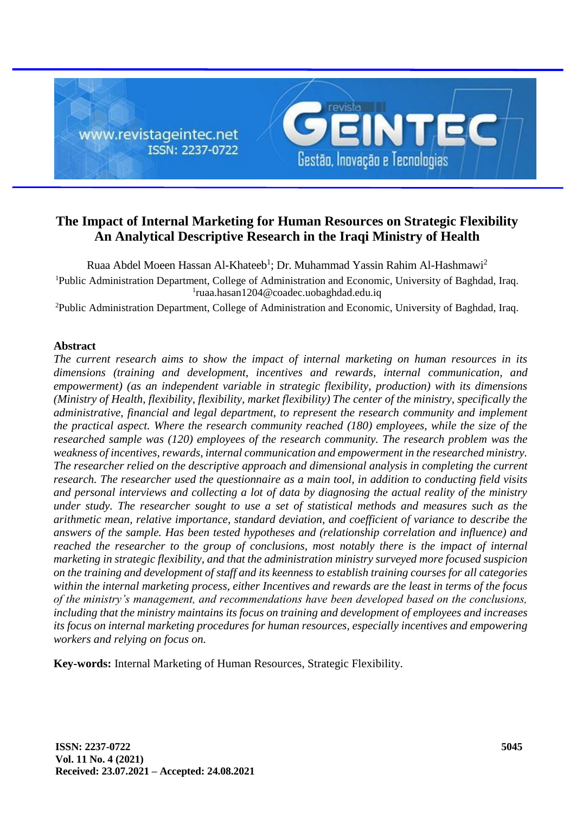

# **The Impact of Internal Marketing for Human Resources on Strategic Flexibility An Analytical Descriptive Research in the Iraqi Ministry of Health**

Ruaa Abdel Moeen Hassan Al-Khateeb<sup>1</sup>; Dr. Muhammad Yassin Rahim Al-Hashmawi<sup>2</sup> <sup>1</sup>Public Administration Department, College of Administration and Economic, University of Baghdad, Iraq. 1 [ruaa.hasan1204@coadec.uobaghdad.edu.iq](mailto:ruaa.hasan1204@coadec.uobaghdad.edu.iq)

<sup>2</sup>Public Administration Department, College of Administration and Economic, University of Baghdad, Iraq.

### **Abstract**

*The current research aims to show the impact of internal marketing on human resources in its dimensions (training and development, incentives and rewards, internal communication, and empowerment) (as an independent variable in strategic flexibility, production) with its dimensions (Ministry of Health, flexibility, flexibility, market flexibility) The center of the ministry, specifically the administrative, financial and legal department, to represent the research community and implement the practical aspect. Where the research community reached (180) employees, while the size of the researched sample was (120) employees of the research community. The research problem was the weakness of incentives, rewards, internal communication and empowerment in the researched ministry. The researcher relied on the descriptive approach and dimensional analysis in completing the current research. The researcher used the questionnaire as a main tool, in addition to conducting field visits and personal interviews and collecting a lot of data by diagnosing the actual reality of the ministry under study. The researcher sought to use a set of statistical methods and measures such as the arithmetic mean, relative importance, standard deviation, and coefficient of variance to describe the answers of the sample. Has been tested hypotheses and (relationship correlation and influence) and*  reached the researcher to the group of conclusions, most notably there is the impact of internal *marketing in strategic flexibility, and that the administration ministry surveyed more focused suspicion on the training and development of staff and its keenness to establish training courses for all categories within the internal marketing process, either Incentives and rewards are the least in terms of the focus of the ministry's management, and recommendations have been developed based on the conclusions, including that the ministry maintains its focus on training and development of employees and increases its focus on internal marketing procedures for human resources, especially incentives and empowering workers and relying on focus on.*

**Key-words:** Internal Marketing of Human Resources, Strategic Flexibility.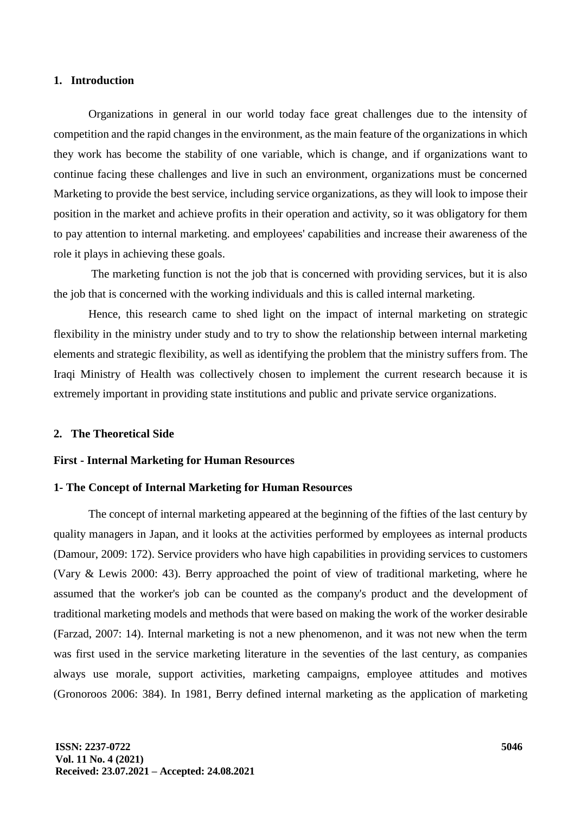#### **1. Introduction**

Organizations in general in our world today face great challenges due to the intensity of competition and the rapid changes in the environment, as the main feature of the organizations in which they work has become the stability of one variable, which is change, and if organizations want to continue facing these challenges and live in such an environment, organizations must be concerned Marketing to provide the best service, including service organizations, as they will look to impose their position in the market and achieve profits in their operation and activity, so it was obligatory for them to pay attention to internal marketing. and employees' capabilities and increase their awareness of the role it plays in achieving these goals.

The marketing function is not the job that is concerned with providing services, but it is also the job that is concerned with the working individuals and this is called internal marketing.

Hence, this research came to shed light on the impact of internal marketing on strategic flexibility in the ministry under study and to try to show the relationship between internal marketing elements and strategic flexibility, as well as identifying the problem that the ministry suffers from. The Iraqi Ministry of Health was collectively chosen to implement the current research because it is extremely important in providing state institutions and public and private service organizations.

#### **2. The Theoretical Side**

#### **First - Internal Marketing for Human Resources**

#### **1- The Concept of Internal Marketing for Human Resources**

The concept of internal marketing appeared at the beginning of the fifties of the last century by quality managers in Japan, and it looks at the activities performed by employees as internal products (Damour, 2009: 172). Service providers who have high capabilities in providing services to customers (Vary & Lewis 2000: 43). Berry approached the point of view of traditional marketing, where he assumed that the worker's job can be counted as the company's product and the development of traditional marketing models and methods that were based on making the work of the worker desirable (Farzad, 2007: 14). Internal marketing is not a new phenomenon, and it was not new when the term was first used in the service marketing literature in the seventies of the last century, as companies always use morale, support activities, marketing campaigns, employee attitudes and motives (Gronoroos 2006: 384). In 1981, Berry defined internal marketing as the application of marketing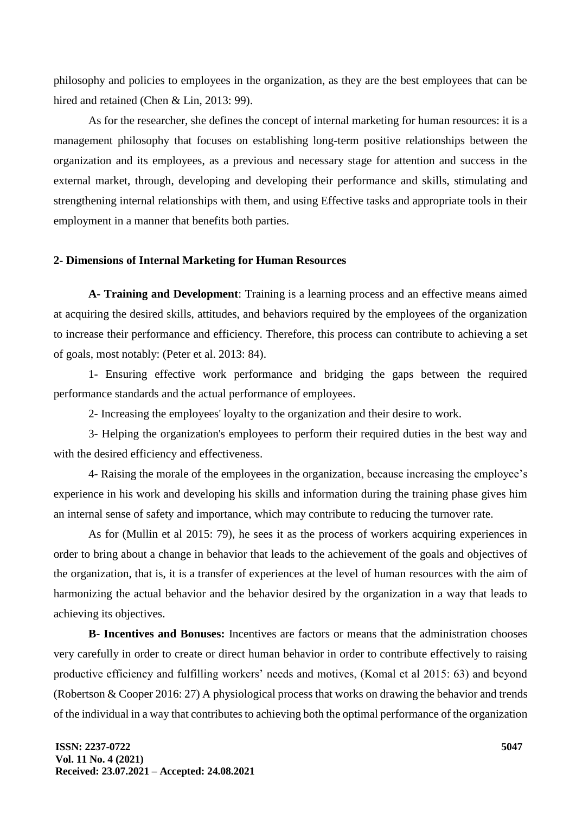philosophy and policies to employees in the organization, as they are the best employees that can be hired and retained (Chen & Lin, 2013: 99).

As for the researcher, she defines the concept of internal marketing for human resources: it is a management philosophy that focuses on establishing long-term positive relationships between the organization and its employees, as a previous and necessary stage for attention and success in the external market, through, developing and developing their performance and skills, stimulating and strengthening internal relationships with them, and using Effective tasks and appropriate tools in their employment in a manner that benefits both parties.

### **2- Dimensions of Internal Marketing for Human Resources**

**A- Training and Development**: Training is a learning process and an effective means aimed at acquiring the desired skills, attitudes, and behaviors required by the employees of the organization to increase their performance and efficiency. Therefore, this process can contribute to achieving a set of goals, most notably: (Peter et al. 2013: 84).

1- Ensuring effective work performance and bridging the gaps between the required performance standards and the actual performance of employees.

2- Increasing the employees' loyalty to the organization and their desire to work.

3- Helping the organization's employees to perform their required duties in the best way and with the desired efficiency and effectiveness.

4- Raising the morale of the employees in the organization, because increasing the employee's experience in his work and developing his skills and information during the training phase gives him an internal sense of safety and importance, which may contribute to reducing the turnover rate.

As for (Mullin et al 2015: 79), he sees it as the process of workers acquiring experiences in order to bring about a change in behavior that leads to the achievement of the goals and objectives of the organization, that is, it is a transfer of experiences at the level of human resources with the aim of harmonizing the actual behavior and the behavior desired by the organization in a way that leads to achieving its objectives.

**B- Incentives and Bonuses:** Incentives are factors or means that the administration chooses very carefully in order to create or direct human behavior in order to contribute effectively to raising productive efficiency and fulfilling workers' needs and motives, (Komal et al 2015: 63) and beyond (Robertson & Cooper 2016: 27) A physiological process that works on drawing the behavior and trends of the individual in a way that contributes to achieving both the optimal performance of the organization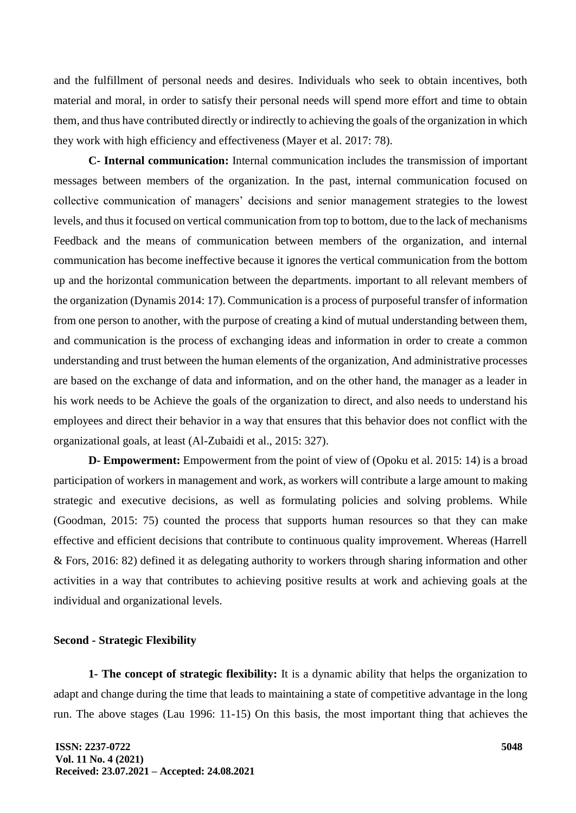and the fulfillment of personal needs and desires. Individuals who seek to obtain incentives, both material and moral, in order to satisfy their personal needs will spend more effort and time to obtain them, and thus have contributed directly or indirectly to achieving the goals of the organization in which they work with high efficiency and effectiveness (Mayer et al. 2017: 78).

**C- Internal communication:** Internal communication includes the transmission of important messages between members of the organization. In the past, internal communication focused on collective communication of managers' decisions and senior management strategies to the lowest levels, and thus it focused on vertical communication from top to bottom, due to the lack of mechanisms Feedback and the means of communication between members of the organization, and internal communication has become ineffective because it ignores the vertical communication from the bottom up and the horizontal communication between the departments. important to all relevant members of the organization (Dynamis 2014: 17). Communication is a process of purposeful transfer of information from one person to another, with the purpose of creating a kind of mutual understanding between them, and communication is the process of exchanging ideas and information in order to create a common understanding and trust between the human elements of the organization, And administrative processes are based on the exchange of data and information, and on the other hand, the manager as a leader in his work needs to be Achieve the goals of the organization to direct, and also needs to understand his employees and direct their behavior in a way that ensures that this behavior does not conflict with the organizational goals, at least (Al-Zubaidi et al., 2015: 327).

**D- Empowerment:** Empowerment from the point of view of (Opoku et al. 2015: 14) is a broad participation of workers in management and work, as workers will contribute a large amount to making strategic and executive decisions, as well as formulating policies and solving problems. While (Goodman, 2015: 75) counted the process that supports human resources so that they can make effective and efficient decisions that contribute to continuous quality improvement. Whereas (Harrell & Fors, 2016: 82) defined it as delegating authority to workers through sharing information and other activities in a way that contributes to achieving positive results at work and achieving goals at the individual and organizational levels.

# **Second - Strategic Flexibility**

**1- The concept of strategic flexibility:** It is a dynamic ability that helps the organization to adapt and change during the time that leads to maintaining a state of competitive advantage in the long run. The above stages (Lau 1996: 11-15) On this basis, the most important thing that achieves the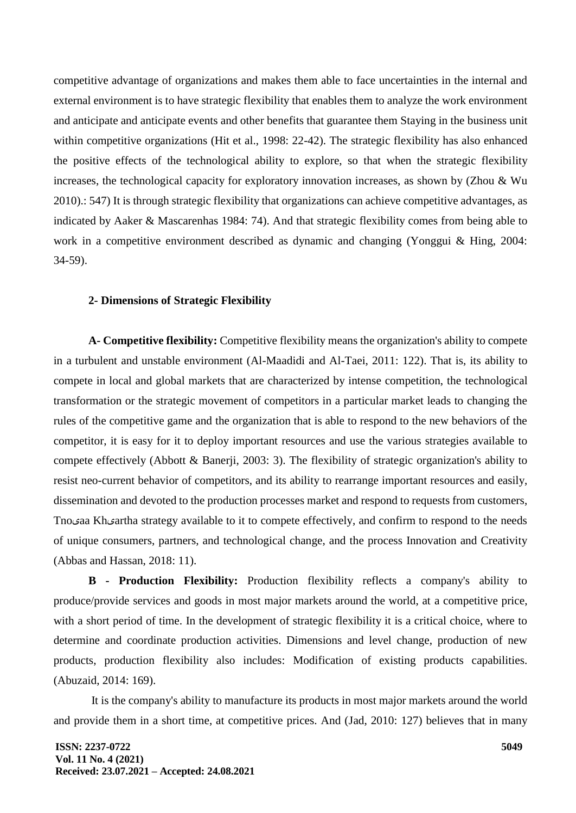competitive advantage of organizations and makes them able to face uncertainties in the internal and external environment is to have strategic flexibility that enables them to analyze the work environment and anticipate and anticipate events and other benefits that guarantee them Staying in the business unit within competitive organizations (Hit et al., 1998: 22-42). The strategic flexibility has also enhanced the positive effects of the technological ability to explore, so that when the strategic flexibility increases, the technological capacity for exploratory innovation increases, as shown by (Zhou & Wu 2010).: 547) It is through strategic flexibility that organizations can achieve competitive advantages, as indicated by Aaker & Mascarenhas 1984: 74). And that strategic flexibility comes from being able to work in a competitive environment described as dynamic and changing (Yonggui & Hing, 2004: 34-59).

### **2- Dimensions of Strategic Flexibility**

**A- Competitive flexibility:** Competitive flexibility means the organization's ability to compete in a turbulent and unstable environment (Al-Maadidi and Al-Taei, 2011: 122). That is, its ability to compete in local and global markets that are characterized by intense competition, the technological transformation or the strategic movement of competitors in a particular market leads to changing the rules of the competitive game and the organization that is able to respond to the new behaviors of the competitor, it is easy for it to deploy important resources and use the various strategies available to compete effectively (Abbott & Banerji, 2003: 3). The flexibility of strategic organization's ability to resist neo-current behavior of competitors, and its ability to rearrange important resources and easily, dissemination and devoted to the production processes market and respond to requests from customers, Tnoیaa Khیartha strategy available to it to compete effectively, and confirm to respond to the needs of unique consumers, partners, and technological change, and the process Innovation and Creativity (Abbas and Hassan, 2018: 11).

**B - Production Flexibility:** Production flexibility reflects a company's ability to produce/provide services and goods in most major markets around the world, at a competitive price, with a short period of time. In the development of strategic flexibility it is a critical choice, where to determine and coordinate production activities. Dimensions and level change, production of new products, production flexibility also includes: Modification of existing products capabilities. (Abuzaid, 2014: 169).

It is the company's ability to manufacture its products in most major markets around the world and provide them in a short time, at competitive prices. And (Jad, 2010: 127) believes that in many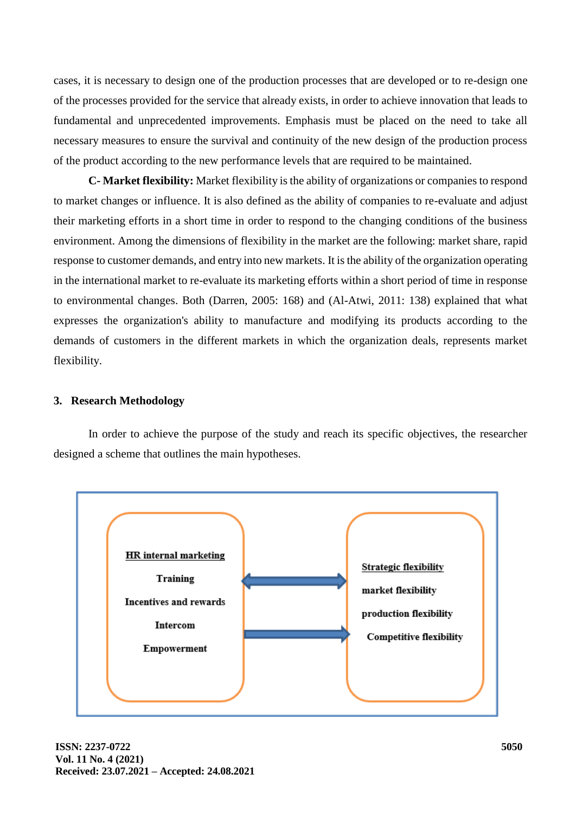cases, it is necessary to design one of the production processes that are developed or to re-design one of the processes provided for the service that already exists, in order to achieve innovation that leads to fundamental and unprecedented improvements. Emphasis must be placed on the need to take all necessary measures to ensure the survival and continuity of the new design of the production process of the product according to the new performance levels that are required to be maintained.

**C- Market flexibility:** Market flexibility is the ability of organizations or companies to respond to market changes or influence. It is also defined as the ability of companies to re-evaluate and adjust their marketing efforts in a short time in order to respond to the changing conditions of the business environment. Among the dimensions of flexibility in the market are the following: market share, rapid response to customer demands, and entry into new markets. It is the ability of the organization operating in the international market to re-evaluate its marketing efforts within a short period of time in response to environmental changes. Both (Darren, 2005: 168) and (Al-Atwi, 2011: 138) explained that what expresses the organization's ability to manufacture and modifying its products according to the demands of customers in the different markets in which the organization deals, represents market flexibility.

## **3. Research Methodology**

In order to achieve the purpose of the study and reach its specific objectives, the researcher designed a scheme that outlines the main hypotheses.

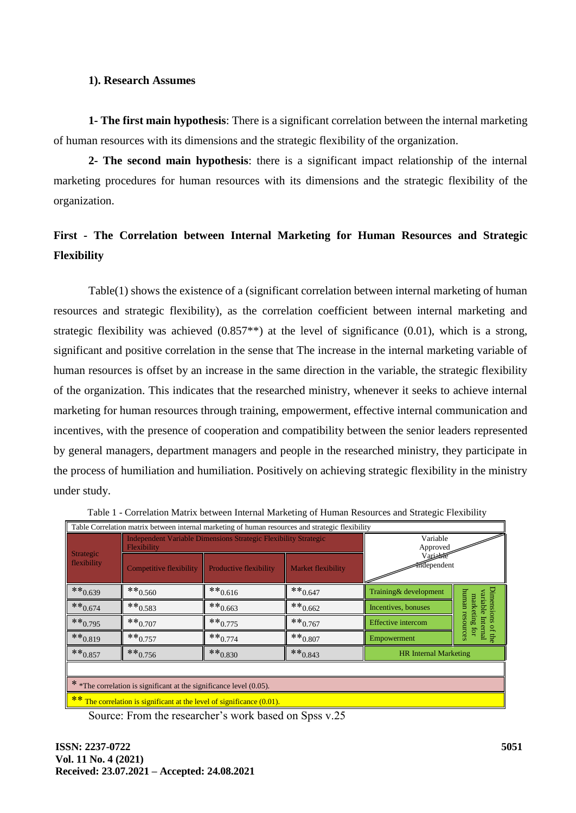## **1). Research Assumes**

**1- The first main hypothesis**: There is a significant correlation between the internal marketing of human resources with its dimensions and the strategic flexibility of the organization.

**2- The second main hypothesis**: there is a significant impact relationship of the internal marketing procedures for human resources with its dimensions and the strategic flexibility of the organization.

# **First - The Correlation between Internal Marketing for Human Resources and Strategic Flexibility**

Table(1) shows the existence of a (significant correlation between internal marketing of human resources and strategic flexibility), as the correlation coefficient between internal marketing and strategic flexibility was achieved (0.857\*\*) at the level of significance (0.01), which is a strong, significant and positive correlation in the sense that The increase in the internal marketing variable of human resources is offset by an increase in the same direction in the variable, the strategic flexibility of the organization. This indicates that the researched ministry, whenever it seeks to achieve internal marketing for human resources through training, empowerment, effective internal communication and incentives, with the presence of cooperation and compatibility between the senior leaders represented by general managers, department managers and people in the researched ministry, they participate in the process of humiliation and humiliation. Positively on achieving strategic flexibility in the ministry under study.

| Table Correlation matrix between internal marketing of human resources and strategic flexibility |                                |                                                                 |                           |                              |                                           |  |  |  |  |  |
|--------------------------------------------------------------------------------------------------|--------------------------------|-----------------------------------------------------------------|---------------------------|------------------------------|-------------------------------------------|--|--|--|--|--|
| Strategic<br>flexibility                                                                         | Flexibility                    | Independent Variable Dimensions Strategic Flexibility Strategic | Variable<br>Approved      |                              |                                           |  |  |  |  |  |
|                                                                                                  | <b>Competitive flexibility</b> | Productive flexibility                                          | <b>Market flexibility</b> | Variet<br>mdependent         |                                           |  |  |  |  |  |
| $**0.639$                                                                                        | $**0.560$                      | $**0.616$                                                       | $**0.647$                 | Training & development       |                                           |  |  |  |  |  |
| $**0.674$                                                                                        | $** 0.583$                     | $**0.663$                                                       | $**0.662$                 | Incentives, bonuses          | Dimensi<br>unman<br>variable<br>marketing |  |  |  |  |  |
| $**_{0.795}$                                                                                     | $**0.707$                      | $**_{0.775}$                                                    | $**0.767$                 | Effective intercom           | resources<br>Interna                      |  |  |  |  |  |
| $**_{0.819}$                                                                                     | $**0.757$                      | $**0.774$                                                       | $**0.807$                 | Empowerment                  |                                           |  |  |  |  |  |
| $**0.857$                                                                                        | $**0.756$                      | $**_{0.830}$                                                    | $**0.843$                 | <b>HR</b> Internal Marketing |                                           |  |  |  |  |  |
|                                                                                                  |                                |                                                                 |                           |                              |                                           |  |  |  |  |  |
| * *The correlation is significant at the significance level (0.05).                              |                                |                                                                 |                           |                              |                                           |  |  |  |  |  |
| ** The correlation is significant at the level of significance (0.01).                           |                                |                                                                 |                           |                              |                                           |  |  |  |  |  |

Table 1 - Correlation Matrix between Internal Marketing of Human Resources and Strategic Flexibility

Source: From the researcher's work based on Spss v.25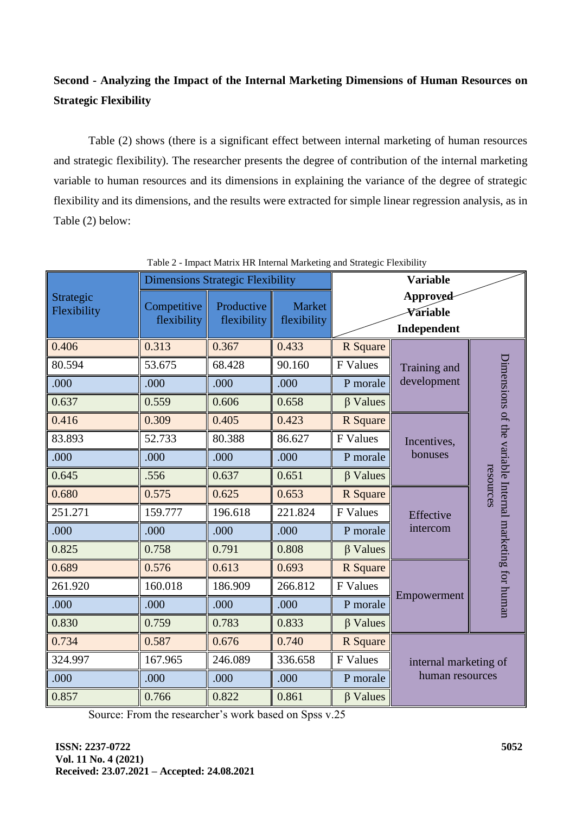# **Second - Analyzing the Impact of the Internal Marketing Dimensions of Human Resources on Strategic Flexibility**

Table (2) shows (there is a significant effect between internal marketing of human resources and strategic flexibility). The researcher presents the degree of contribution of the internal marketing variable to human resources and its dimensions in explaining the variance of the degree of strategic flexibility and its dimensions, and the results were extracted for simple linear regression analysis, as in Table (2) below:

|                          |                            | <b>Dimensions Strategic Flexibility</b> |                              | <b>Variable</b> |                                          |                                                                      |
|--------------------------|----------------------------|-----------------------------------------|------------------------------|-----------------|------------------------------------------|----------------------------------------------------------------------|
| Strategic<br>Flexibility | Competitive<br>flexibility | Productive<br>flexibility               | <b>Market</b><br>flexibility |                 | Approved<br>Variable<br>Independent      |                                                                      |
| 0.406                    | 0.313                      | 0.367                                   | 0.433                        | R Square        |                                          | Dimensions of the variable Internal marketing for human<br>resources |
| 80.594                   | 53.675                     | 68.428                                  | 90.160                       | F Values        | Training and                             |                                                                      |
| .000                     | .000                       | .000                                    | .000                         | P morale        | development                              |                                                                      |
| 0.637                    | 0.559                      | 0.606                                   | 0.658                        | $\beta$ Values  |                                          |                                                                      |
| 0.416                    | 0.309                      | 0.405                                   | 0.423                        | R Square        |                                          |                                                                      |
| 83.893                   | 52.733                     | 80.388                                  | 86.627                       | F Values        | Incentives,                              |                                                                      |
| .000                     | .000                       | .000                                    | .000                         | P morale        | bonuses                                  |                                                                      |
| 0.645                    | .556                       | 0.637                                   | 0.651                        | $\beta$ Values  |                                          |                                                                      |
| 0.680                    | 0.575                      | 0.625                                   | 0.653                        | R Square        |                                          |                                                                      |
| 251.271                  | 159.777                    | 196.618                                 | 221.824                      | F Values        | Effective                                |                                                                      |
| .000                     | .000                       | .000                                    | .000                         | P morale        | intercom                                 |                                                                      |
| 0.825                    | 0.758                      | 0.791                                   | 0.808                        | $\beta$ Values  |                                          |                                                                      |
| 0.689                    | 0.576                      | 0.613                                   | 0.693                        | R Square        |                                          |                                                                      |
| 261.920                  | 160.018                    | 186.909                                 | 266.812                      | F Values        | Empowerment                              |                                                                      |
| .000                     | .000                       | .000                                    | .000                         | P morale        |                                          |                                                                      |
| 0.830                    | 0.759                      | 0.783                                   | 0.833                        | $\beta$ Values  |                                          |                                                                      |
| 0.734                    | 0.587                      | 0.676                                   | 0.740                        | R Square        | internal marketing of<br>human resources |                                                                      |
| 324.997                  | 167.965                    | 246.089                                 | 336.658                      | F Values        |                                          |                                                                      |
| .000                     | .000                       | .000                                    | .000                         | P morale        |                                          |                                                                      |
| 0.857                    | 0.766                      | 0.822                                   | 0.861                        | $\beta$ Values  |                                          |                                                                      |

Table 2 - Impact Matrix HR Internal Marketing and Strategic Flexibility

Source: From the researcher's work based on Spss v.25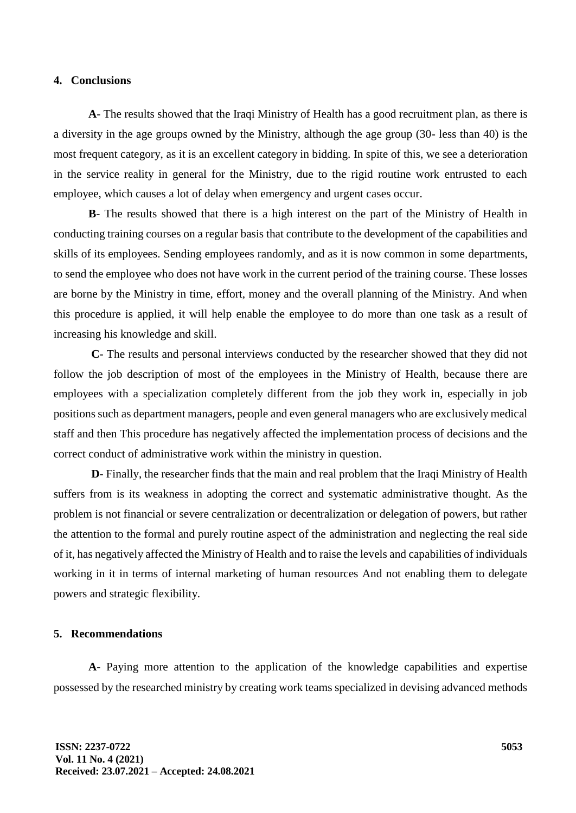## **4. Conclusions**

**A**- The results showed that the Iraqi Ministry of Health has a good recruitment plan, as there is a diversity in the age groups owned by the Ministry, although the age group (30- less than 40) is the most frequent category, as it is an excellent category in bidding. In spite of this, we see a deterioration in the service reality in general for the Ministry, due to the rigid routine work entrusted to each employee, which causes a lot of delay when emergency and urgent cases occur.

**B**- The results showed that there is a high interest on the part of the Ministry of Health in conducting training courses on a regular basis that contribute to the development of the capabilities and skills of its employees. Sending employees randomly, and as it is now common in some departments, to send the employee who does not have work in the current period of the training course. These losses are borne by the Ministry in time, effort, money and the overall planning of the Ministry. And when this procedure is applied, it will help enable the employee to do more than one task as a result of increasing his knowledge and skill.

**C**- The results and personal interviews conducted by the researcher showed that they did not follow the job description of most of the employees in the Ministry of Health, because there are employees with a specialization completely different from the job they work in, especially in job positions such as department managers, people and even general managers who are exclusively medical staff and then This procedure has negatively affected the implementation process of decisions and the correct conduct of administrative work within the ministry in question.

**D**- Finally, the researcher finds that the main and real problem that the Iraqi Ministry of Health suffers from is its weakness in adopting the correct and systematic administrative thought. As the problem is not financial or severe centralization or decentralization or delegation of powers, but rather the attention to the formal and purely routine aspect of the administration and neglecting the real side of it, has negatively affected the Ministry of Health and to raise the levels and capabilities of individuals working in it in terms of internal marketing of human resources And not enabling them to delegate powers and strategic flexibility.

## **5. Recommendations**

**A**- Paying more attention to the application of the knowledge capabilities and expertise possessed by the researched ministry by creating work teams specialized in devising advanced methods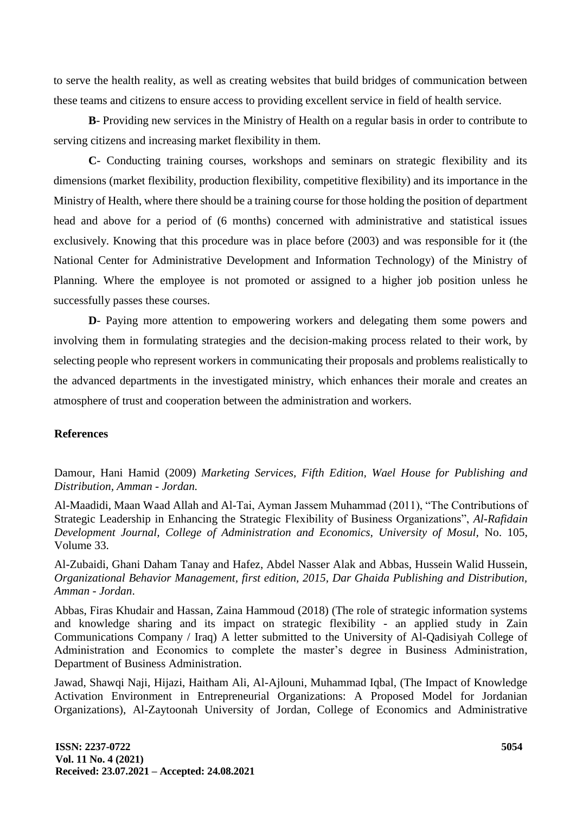to serve the health reality, as well as creating websites that build bridges of communication between these teams and citizens to ensure access to providing excellent service in field of health service.

**B**- Providing new services in the Ministry of Health on a regular basis in order to contribute to serving citizens and increasing market flexibility in them.

**C**- Conducting training courses, workshops and seminars on strategic flexibility and its dimensions (market flexibility, production flexibility, competitive flexibility) and its importance in the Ministry of Health, where there should be a training course for those holding the position of department head and above for a period of (6 months) concerned with administrative and statistical issues exclusively. Knowing that this procedure was in place before (2003) and was responsible for it (the National Center for Administrative Development and Information Technology) of the Ministry of Planning. Where the employee is not promoted or assigned to a higher job position unless he successfully passes these courses.

**D**- Paying more attention to empowering workers and delegating them some powers and involving them in formulating strategies and the decision-making process related to their work, by selecting people who represent workers in communicating their proposals and problems realistically to the advanced departments in the investigated ministry, which enhances their morale and creates an atmosphere of trust and cooperation between the administration and workers.

#### **References**

Damour, Hani Hamid (2009) *Marketing Services, Fifth Edition, Wael House for Publishing and Distribution, Amman - Jordan.*

Al-Maadidi, Maan Waad Allah and Al-Tai, Ayman Jassem Muhammad (2011), "The Contributions of Strategic Leadership in Enhancing the Strategic Flexibility of Business Organizations", *Al-Rafidain Development Journal, College of Administration and Economics, University of Mosul,* No. 105, Volume 33.

Al-Zubaidi, Ghani Daham Tanay and Hafez, Abdel Nasser Alak and Abbas, Hussein Walid Hussein, *Organizational Behavior Management, first edition, 2015, Dar Ghaida Publishing and Distribution, Amman - Jordan*.

Abbas, Firas Khudair and Hassan, Zaina Hammoud (2018) (The role of strategic information systems and knowledge sharing and its impact on strategic flexibility - an applied study in Zain Communications Company / Iraq) A letter submitted to the University of Al-Qadisiyah College of Administration and Economics to complete the master's degree in Business Administration, Department of Business Administration.

Jawad, Shawqi Naji, Hijazi, Haitham Ali, Al-Ajlouni, Muhammad Iqbal, (The Impact of Knowledge Activation Environment in Entrepreneurial Organizations: A Proposed Model for Jordanian Organizations), Al-Zaytoonah University of Jordan, College of Economics and Administrative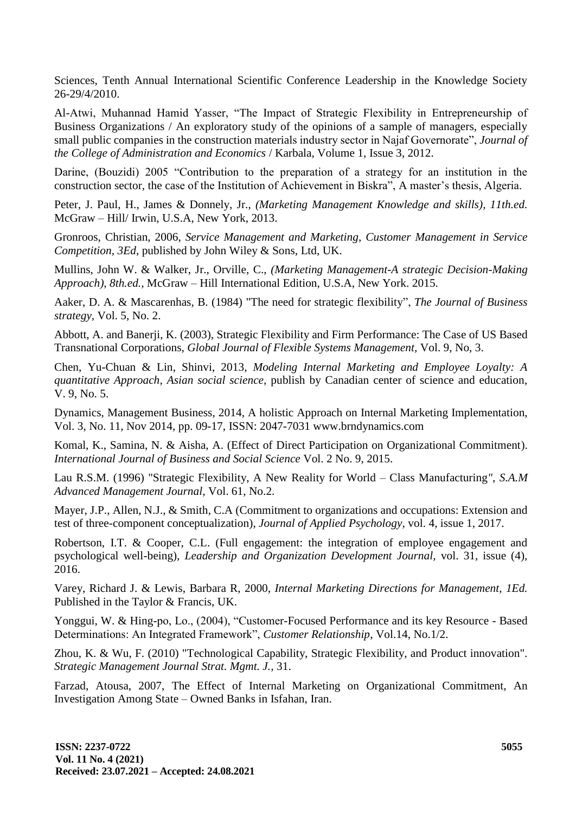Sciences, Tenth Annual International Scientific Conference Leadership in the Knowledge Society 26-29/4/2010.

Al-Atwi, Muhannad Hamid Yasser, "The Impact of Strategic Flexibility in Entrepreneurship of Business Organizations / An exploratory study of the opinions of a sample of managers, especially small public companies in the construction materials industry sector in Najaf Governorate", *Journal of the College of Administration and Economics* / Karbala, Volume 1, Issue 3, 2012.

Darine, (Bouzidi) 2005 "Contribution to the preparation of a strategy for an institution in the construction sector, the case of the Institution of Achievement in Biskra", A master's thesis, Algeria.

Peter, J. Paul, H., James & Donnely, Jr., *(Marketing Management Knowledge and skills), 11th.ed.*  McGraw – Hill/ Irwin, U.S.A, New York, 2013.

Gronroos, Christian, 2006, *Service Management and Marketing, Customer Management in Service Competition, 3Ed,* published by John Wiley & Sons, Ltd, UK.

Mullins, John W. & Walker, Jr., Orville, C., *(Marketing Management-A strategic Decision-Making Approach), 8th.ed.,* McGraw – Hill International Edition, U.S.A, New York. 2015.

Aaker, D. A. & Mascarenhas, B. (1984) "The need for strategic flexibility", *The Journal of Business strategy,* Vol. 5, No. 2.

Abbott, A. and Banerji, K. (2003), Strategic Flexibility and Firm Performance: The Case of US Based Transnational Corporations, *Global Journal of Flexible Systems Management,* Vol. 9, No, 3.

Chen, Yu-Chuan & Lin, Shinvi, 2013, *Modeling Internal Marketing and Employee Loyalty: A quantitative Approach, Asian social science,* publish by Canadian center of science and education, V. 9, No. 5.

Dynamics, Management Business, 2014, A holistic Approach on Internal Marketing Implementation, Vol. 3, No. 11, Nov 2014, pp. 09-17, ISSN: 2047-7031 www.brndynamics.com

Komal, K., Samina, N. & Aisha, A. (Effect of Direct Participation on Organizational Commitment). *International Journal of Business and Social Science* Vol. 2 No. 9, 2015.

Lau R.S.M. (1996) "Strategic Flexibility, A New Reality for World – Class Manufacturing*", S.A.M Advanced Management Journal,* Vol. 61, No.2.

Mayer, J.P., Allen, N.J., & Smith, C.A (Commitment to organizations and occupations: Extension and test of three-component conceptualization), *Journal of Applied Psychology,* vol. 4, issue 1, 2017.

Robertson, I.T. & Cooper, C.L. (Full engagement: the integration of employee engagement and psychological well-being), *Leadership and Organization Development Journal,* vol. 31, issue (4), 2016.

Varey, Richard J. & Lewis, Barbara R, 2000, *Internal Marketing Directions for Management, 1Ed.*  Published in the Taylor & Francis, UK.

Yonggui, W. & Hing-po, Lo., (2004), "Customer-Focused Performance and its key Resource - Based Determinations: An Integrated Framework", *Customer Relationship*, Vol.14, No.1/2.

Zhou, K. & Wu, F. (2010) "Technological Capability, Strategic Flexibility, and Product innovation". *Strategic Management Journal Strat. Mgmt. J.,* 31.

Farzad, Atousa, 2007, The Effect of Internal Marketing on Organizational Commitment, An Investigation Among State – Owned Banks in Isfahan, Iran.